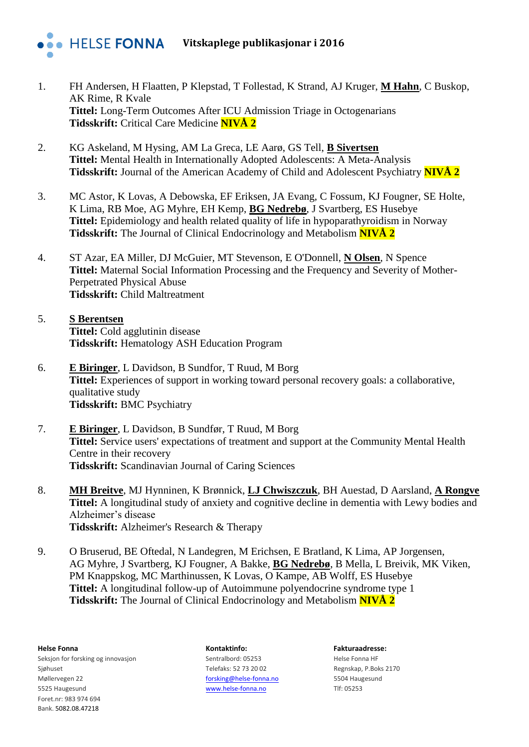

- 1. FH Andersen, H Flaatten, P Klepstad, T Follestad, K Strand, AJ Kruger, **M Hahn**, C Buskop, AK Rime, R Kvale **Tittel:** Long-Term Outcomes After ICU Admission Triage in Octogenarians **Tidsskrift:** Critical Care Medicine **NIVÅ 2**
- 2. KG Askeland, M Hysing, AM La Greca, LE Aarø, GS Tell, **B Sivertsen Tittel:** Mental Health in Internationally Adopted Adolescents: A Meta-Analysis **Tidsskrift:** Journal of the American Academy of Child and Adolescent Psychiatry **NIVÅ 2**
- 3. MC Astor, K Lovas, A Debowska, EF Eriksen, JA Evang, C Fossum, KJ Fougner, SE Holte, K Lima, RB Moe, AG Myhre, EH Kemp, **BG Nedrebø**, J Svartberg, ES Husebye **Tittel:** Epidemiology and health related quality of life in hypoparathyroidism in Norway **Tidsskrift:** The Journal of Clinical Endocrinology and Metabolism **NIVÅ 2**
- 4. ST Azar, EA Miller, DJ McGuier, MT Stevenson, E O'Donnell, **N Olsen**, N Spence **Tittel:** Maternal Social Information Processing and the Frequency and Severity of Mother-Perpetrated Physical Abuse **Tidsskrift:** Child Maltreatment
- 5. **S Berentsen Tittel:** Cold agglutinin disease **Tidsskrift:** Hematology ASH Education Program
- 6. **E Biringer**, L Davidson, B Sundfor, T Ruud, M Borg **Tittel:** Experiences of support in working toward personal recovery goals: a collaborative, qualitative study **Tidsskrift:** BMC Psychiatry
- 7. **E Biringer**, L Davidson, B Sundfør, T Ruud, M Borg **Tittel:** Service users' expectations of treatment and support at the Community Mental Health Centre in their recovery **Tidsskrift:** Scandinavian Journal of Caring Sciences
- 8. **MH Breitve**, MJ Hynninen, K Brønnick, **LJ Chwiszczuk**, BH Auestad, D Aarsland, **A Rongve Tittel:** A longitudinal study of anxiety and cognitive decline in dementia with Lewy bodies and Alzheimer's disease **Tidsskrift:** Alzheimer's Research & Therapy
- 9. O Bruserud, BE Oftedal, N Landegren, M Erichsen, E Bratland, K Lima, AP Jorgensen, AG Myhre, J Svartberg, KJ Fougner, A Bakke, **BG Nedrebø**, B Mella, L Breivik, MK Viken, PM Knappskog, MC Marthinussen, K Lovas, O Kampe, AB Wolff, ES Husebye **Tittel:** A longitudinal follow-up of Autoimmune polyendocrine syndrome type 1 **Tidsskrift:** The Journal of Clinical Endocrinology and Metabolism **NIVÅ 2**

**Helse Fonna Kontaktinfo: Fakturaadresse:** Seksjon for forsking og innovasjon Sentralbord: 05253 Helse Fonna HF Sjøhuset Sighuset Telefaks: 52 73 20 02 Regnskap, P.Boks 2170 Møllervegen 22 [forsking@helse-fonna.no](mailto:forsking@helse-fonna.no) 5504 Haugesund 5525 Haugesund [www.helse-fonna.no](http://www.helse-fonna.no/) Tlf: 05253 Foret.nr: 983 974 694 Bank. 5082.08.47218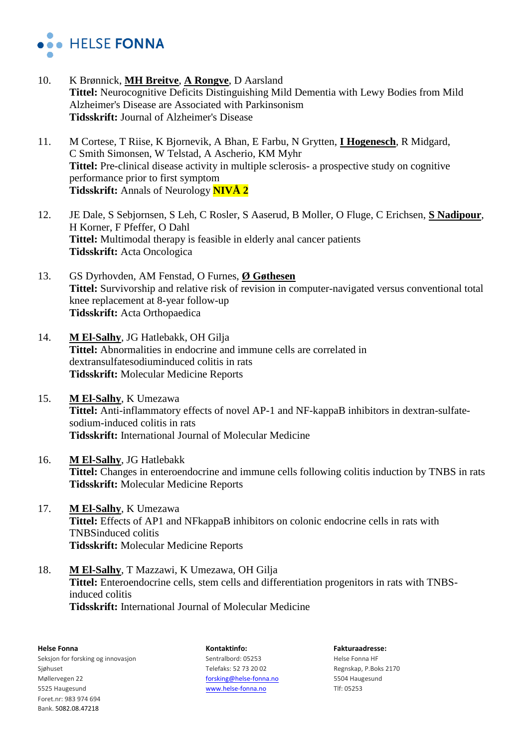

- 10. K Brønnick, **MH Breitve**, **A Rongve**, D Aarsland **Tittel:** Neurocognitive Deficits Distinguishing Mild Dementia with Lewy Bodies from Mild Alzheimer's Disease are Associated with Parkinsonism **Tidsskrift:** Journal of Alzheimer's Disease
- 11. M Cortese, T Riise, K Bjornevik, A Bhan, E Farbu, N Grytten, **I Hogenesch**, R Midgard, C Smith Simonsen, W Telstad, A Ascherio, KM Myhr **Tittel:** Pre-clinical disease activity in multiple sclerosis- a prospective study on cognitive performance prior to first symptom **Tidsskrift:** Annals of Neurology **NIVÅ 2**
- 12. JE Dale, S Sebjornsen, S Leh, C Rosler, S Aaserud, B Moller, O Fluge, C Erichsen, **S Nadipour**, H Korner, F Pfeffer, O Dahl **Tittel:** Multimodal therapy is feasible in elderly anal cancer patients **Tidsskrift:** Acta Oncologica
- 13. GS Dyrhovden, AM Fenstad, O Furnes, **Ø Gøthesen Tittel:** Survivorship and relative risk of revision in computer-navigated versus conventional total knee replacement at 8-year follow-up **Tidsskrift:** Acta Orthopaedica
- 14. **M El-Salhy**, JG Hatlebakk, OH Gilja **Tittel:** Abnormalities in endocrine and immune cells are correlated in dextransulfatesodiuminduced colitis in rats **Tidsskrift:** Molecular Medicine Reports
- 15. **M El-Salhy**, K Umezawa **Tittel:** Anti-inflammatory effects of novel AP-1 and NF-kappaB inhibitors in dextran-sulfatesodium-induced colitis in rats **Tidsskrift:** International Journal of Molecular Medicine
- 16. **M El-Salhy**, JG Hatlebakk **Tittel:** Changes in enteroendocrine and immune cells following colitis induction by TNBS in rats **Tidsskrift:** Molecular Medicine Reports
- 17. **M El-Salhy**, K Umezawa **Tittel:** Effects of AP1 and NFkappaB inhibitors on colonic endocrine cells in rats with TNBSinduced colitis **Tidsskrift:** Molecular Medicine Reports
- 18. **M El-Salhy**, T Mazzawi, K Umezawa, OH Gilja **Tittel:** Enteroendocrine cells, stem cells and differentiation progenitors in rats with TNBSinduced colitis **Tidsskrift:** International Journal of Molecular Medicine

**Helse Fonna Kontaktinfo: Fakturaadresse:** Seksjon for forsking og innovasjon Sentralbord: 05253 Helse Fonna HF Sjøhuset Sighuset Telefaks: 52 73 20 02 Regnskap, P.Boks 2170 Møllervegen 22 [forsking@helse-fonna.no](mailto:forsking@helse-fonna.no) 5504 Haugesund 5525 Haugesund [www.helse-fonna.no](http://www.helse-fonna.no/) Tlf: 05253 Foret.nr: 983 974 694 Bank. 5082.08.47218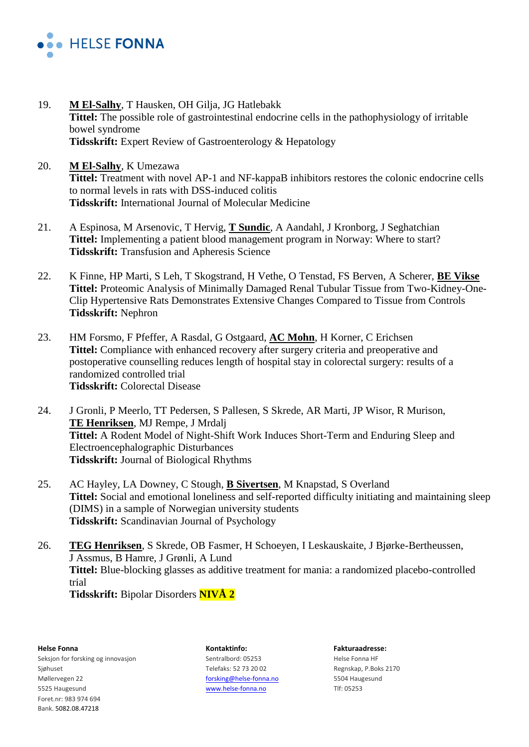

- 19. **M El-Salhy**, T Hausken, OH Gilja, JG Hatlebakk **Tittel:** The possible role of gastrointestinal endocrine cells in the pathophysiology of irritable bowel syndrome **Tidsskrift:** Expert Review of Gastroenterology & Hepatology
- 20. **M El-Salhy**, K Umezawa **Tittel:** Treatment with novel AP-1 and NF-kappaB inhibitors restores the colonic endocrine cells to normal levels in rats with DSS-induced colitis **Tidsskrift:** International Journal of Molecular Medicine
- 21. A Espinosa, M Arsenovic, T Hervig, **T Sundic**, A Aandahl, J Kronborg, J Seghatchian **Tittel:** Implementing a patient blood management program in Norway: Where to start? **Tidsskrift:** Transfusion and Apheresis Science
- 22. K Finne, HP Marti, S Leh, T Skogstrand, H Vethe, O Tenstad, FS Berven, A Scherer, **BE Vikse Tittel:** Proteomic Analysis of Minimally Damaged Renal Tubular Tissue from Two-Kidney-One-Clip Hypertensive Rats Demonstrates Extensive Changes Compared to Tissue from Controls **Tidsskrift:** Nephron
- 23. HM Forsmo, F Pfeffer, A Rasdal, G Ostgaard, **AC Mohn**, H Korner, C Erichsen **Tittel:** Compliance with enhanced recovery after surgery criteria and preoperative and postoperative counselling reduces length of hospital stay in colorectal surgery: results of a randomized controlled trial **Tidsskrift:** Colorectal Disease
- 24. J Gronli, P Meerlo, TT Pedersen, S Pallesen, S Skrede, AR Marti, JP Wisor, R Murison, **TE Henriksen**, MJ Rempe, J Mrdalj **Tittel:** A Rodent Model of Night-Shift Work Induces Short-Term and Enduring Sleep and Electroencephalographic Disturbances **Tidsskrift:** Journal of Biological Rhythms
- 25. AC Hayley, LA Downey, C Stough, **B Sivertsen**, M Knapstad, S Overland **Tittel:** Social and emotional loneliness and self-reported difficulty initiating and maintaining sleep (DIMS) in a sample of Norwegian university students **Tidsskrift:** Scandinavian Journal of Psychology
- 26. **TEG Henriksen**, S Skrede, OB Fasmer, H Schoeyen, I Leskauskaite, J Bjørke-Bertheussen, J Assmus, B Hamre, J Grønli, A Lund **Tittel:** Blue-blocking glasses as additive treatment for mania: a randomized placebo-controlled trial **Tidsskrift:** Bipolar Disorders **NIVÅ 2**

Seksjon for forsking og innovasjon Sentralbord: 05253 Helse Fonna HF Sjøhuset Sighuset Telefaks: 52 73 20 02 Regnskap, P.Boks 2170 Møllervegen 22 [forsking@helse-fonna.no](mailto:forsking@helse-fonna.no) 5504 Haugesund 5525 Haugesund [www.helse-fonna.no](http://www.helse-fonna.no/) Tlf: 05253 Foret.nr: 983 974 694 Bank. 5082.08.47218

**Helse Fonna Kontaktinfo: Fakturaadresse:**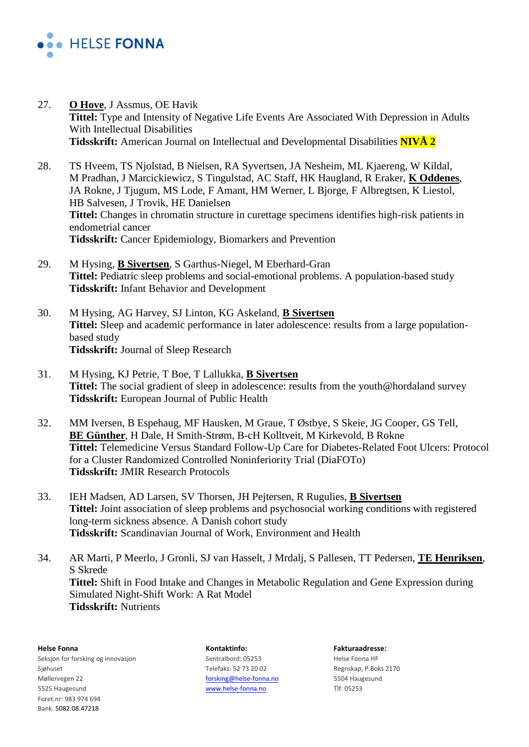

- 27. **O Hove**, J Assmus, OE Havik **Tittel:** Type and Intensity of Negative Life Events Are Associated With Depression in Adults With Intellectual Disabilities **Tidsskrift:** American Journal on Intellectual and Developmental Disabilities **NIVÅ 2**
- 28. TS Hveem, TS Njolstad, B Nielsen, RA Syvertsen, JA Nesheim, ML Kjaereng, W Kildal, M Pradhan, J Marcickiewicz, S Tingulstad, AC Staff, HK Haugland, R Eraker, **K Oddenes**, JA Rokne, J Tjugum, MS Lode, F Amant, HM Werner, L Bjorge, F Albregtsen, K Liestol, HB Salvesen, J Trovik, HE Danielsen **Tittel:** Changes in chromatin structure in curettage specimens identifies high-risk patients in endometrial cancer **Tidsskrift:** Cancer Epidemiology, Biomarkers and Prevention
- 29. M Hysing, **B Sivertsen**, S Garthus-Niegel, M Eberhard-Gran **Tittel:** Pediatric sleep problems and social-emotional problems. A population-based study **Tidsskrift:** Infant Behavior and Development
- 30. M Hysing, AG Harvey, SJ Linton, KG Askeland, **B Sivertsen Tittel:** Sleep and academic performance in later adolescence: results from a large populationbased study **Tidsskrift:** Journal of Sleep Research
- 31. M Hysing, KJ Petrie, T Boe, T Lallukka, **B Sivertsen Tittel:** The social gradient of sleep in adolescence: results from the youth@hordaland survey **Tidsskrift:** European Journal of Public Health
- 32. MM Iversen, B Espehaug, MF Hausken, M Graue, T Østbye, S Skeie, JG Cooper, GS Tell, **BE Günther**, H Dale, H Smith-Strøm, B-cH Kolltveit, M Kirkevold, B Rokne **Tittel:** Telemedicine Versus Standard Follow-Up Care for Diabetes-Related Foot Ulcers: Protocol for a Cluster Randomized Controlled Noninferiority Trial (DiaFOTo) **Tidsskrift:** JMIR Research Protocols
- 33. IEH Madsen, AD Larsen, SV Thorsen, JH Pejtersen, R Rugulies, **B Sivertsen Tittel:** Joint association of sleep problems and psychosocial working conditions with registered long-term sickness absence. A Danish cohort study **Tidsskrift:** Scandinavian Journal of Work, Environment and Health
- 34. AR Marti, P Meerlo, J Gronli, SJ van Hasselt, J Mrdalj, S Pallesen, TT Pedersen, **TE Henriksen**, S Skrede **Tittel:** Shift in Food Intake and Changes in Metabolic Regulation and Gene Expression during Simulated Night-Shift Work: A Rat Model **Tidsskrift:** Nutrients

**Helse Fonna Kontaktinfo: Fakturaadresse:** Seksjon for forsking og innovasjon Sentralbord: 05253 Helse Fonna HF Sjøhuset Sighuset Telefaks: 52 73 20 02 Regnskap, P.Boks 2170 Møllervegen 22 [forsking@helse-fonna.no](mailto:forsking@helse-fonna.no) 5504 Haugesund 5525 Haugesund [www.helse-fonna.no](http://www.helse-fonna.no/) Tlf: 05253 Foret.nr: 983 974 694 Bank. 5082.08.47218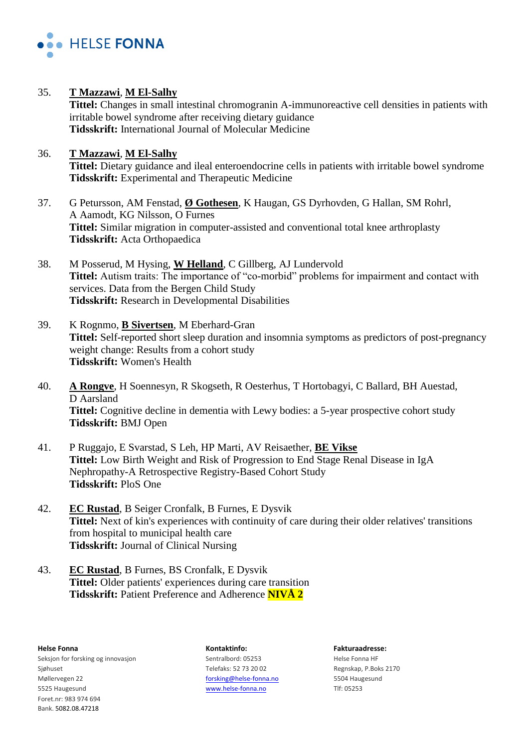

35. **T Mazzawi**, **M El-Salhy**

**Tittel:** Changes in small intestinal chromogranin A-immunoreactive cell densities in patients with irritable bowel syndrome after receiving dietary guidance **Tidsskrift:** International Journal of Molecular Medicine

## 36. **T Mazzawi**, **M El-Salhy Tittel:** Dietary guidance and ileal enteroendocrine cells in patients with irritable bowel syndrome **Tidsskrift:** Experimental and Therapeutic Medicine

- 37. G Petursson, AM Fenstad, **Ø Gothesen**, K Haugan, GS Dyrhovden, G Hallan, SM Rohrl, A Aamodt, KG Nilsson, O Furnes **Tittel:** Similar migration in computer-assisted and conventional total knee arthroplasty **Tidsskrift:** Acta Orthopaedica
- 38. M Posserud, M Hysing, **W Helland**, C Gillberg, AJ Lundervold **Tittel:** Autism traits: The importance of "co-morbid" problems for impairment and contact with services. Data from the Bergen Child Study **Tidsskrift:** Research in Developmental Disabilities
- 39. K Rognmo, **B Sivertsen**, M Eberhard-Gran **Tittel:** Self-reported short sleep duration and insomnia symptoms as predictors of post-pregnancy weight change: Results from a cohort study **Tidsskrift:** Women's Health
- 40. **A Rongve**, H Soennesyn, R Skogseth, R Oesterhus, T Hortobagyi, C Ballard, BH Auestad, D Aarsland **Tittel:** Cognitive decline in dementia with Lewy bodies: a 5-year prospective cohort study **Tidsskrift:** BMJ Open
- 41. P Ruggajo, E Svarstad, S Leh, HP Marti, AV Reisaether, **BE Vikse Tittel:** Low Birth Weight and Risk of Progression to End Stage Renal Disease in IgA Nephropathy-A Retrospective Registry-Based Cohort Study **Tidsskrift:** PloS One
- 42. **EC Rustad**, B Seiger Cronfalk, B Furnes, E Dysvik **Tittel:** Next of kin's experiences with continuity of care during their older relatives' transitions from hospital to municipal health care **Tidsskrift:** Journal of Clinical Nursing
- 43. **EC Rustad**, B Furnes, BS Cronfalk, E Dysvik **Tittel:** Older patients' experiences during care transition **Tidsskrift:** Patient Preference and Adherence **NIVÅ 2**

**Helse Fonna Kontaktinfo: Fakturaadresse:** Seksjon for forsking og innovasjon Sentralbord: 05253 Helse Fonna HF Sjøhuset Sighuset Telefaks: 52 73 20 02 Regnskap, P.Boks 2170 Møllervegen 22 [forsking@helse-fonna.no](mailto:forsking@helse-fonna.no) 5504 Haugesund 5525 Haugesund [www.helse-fonna.no](http://www.helse-fonna.no/) Tlf: 05253 Foret.nr: 983 974 694 Bank. 5082.08.47218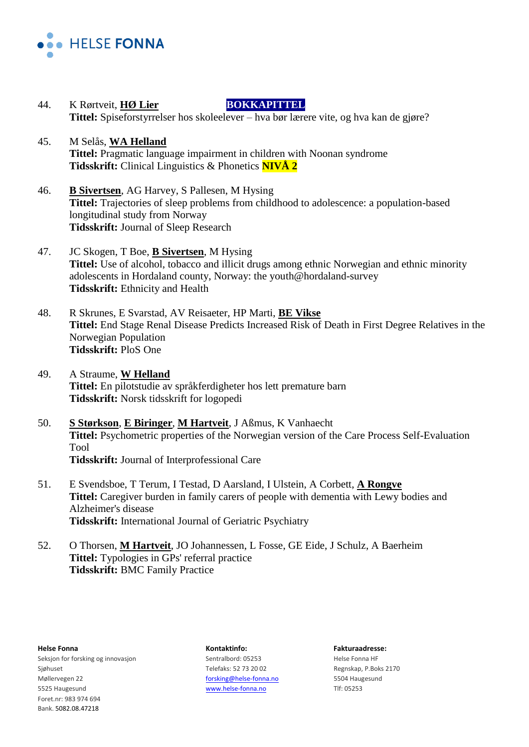

- 44. K Rørtveit, **HØ Lier BOKKAPITTEL** Tittel: Spiseforstyrrelser hos skoleelever – hva bør lærere vite, og hva kan de gjøre?
- 45. M Selås, **WA Helland Tittel:** Pragmatic language impairment in children with Noonan syndrome **Tidsskrift:** Clinical Linguistics & Phonetics **NIVÅ 2**
- 46. **B Sivertsen**, AG Harvey, S Pallesen, M Hysing **Tittel:** Trajectories of sleep problems from childhood to adolescence: a population-based longitudinal study from Norway **Tidsskrift:** Journal of Sleep Research
- 47. JC Skogen, T Boe, **B Sivertsen**, M Hysing **Tittel:** Use of alcohol, tobacco and illicit drugs among ethnic Norwegian and ethnic minority adolescents in Hordaland county, Norway: the youth@hordaland-survey **Tidsskrift:** Ethnicity and Health
- 48. R Skrunes, E Svarstad, AV Reisaeter, HP Marti, **BE Vikse Tittel:** End Stage Renal Disease Predicts Increased Risk of Death in First Degree Relatives in the Norwegian Population **Tidsskrift:** PloS One
- 49. A Straume, **W Helland Tittel:** En pilotstudie av språkferdigheter hos lett premature barn **Tidsskrift:** Norsk tidsskrift for logopedi
- 50. **S Størkson**, **E Biringer**, **M Hartveit**, J Aßmus, K Vanhaecht **Tittel:** Psychometric properties of the Norwegian version of the Care Process Self-Evaluation Tool **Tidsskrift:** Journal of Interprofessional Care
- 51. E Svendsboe, T Terum, I Testad, D Aarsland, I Ulstein, A Corbett, **A Rongve Tittel:** Caregiver burden in family carers of people with dementia with Lewy bodies and Alzheimer's disease **Tidsskrift:** International Journal of Geriatric Psychiatry
- 52. O Thorsen, **M Hartveit**, JO Johannessen, L Fosse, GE Eide, J Schulz, A Baerheim **Tittel:** Typologies in GPs' referral practice **Tidsskrift:** BMC Family Practice

Seksjon for forsking og innovasjon Sentralbord: 05253 Helse Fonna HF Sjøhuset Sighuset Telefaks: 52 73 20 02 Regnskap, P.Boks 2170 Møllervegen 22 [forsking@helse-fonna.no](mailto:forsking@helse-fonna.no) 5504 Haugesund 5525 Haugesund [www.helse-fonna.no](http://www.helse-fonna.no/) Tlf: 05253 Foret.nr: 983 974 694 Bank. 5082.08.47218

**Helse Fonna Kontaktinfo: Fakturaadresse:**